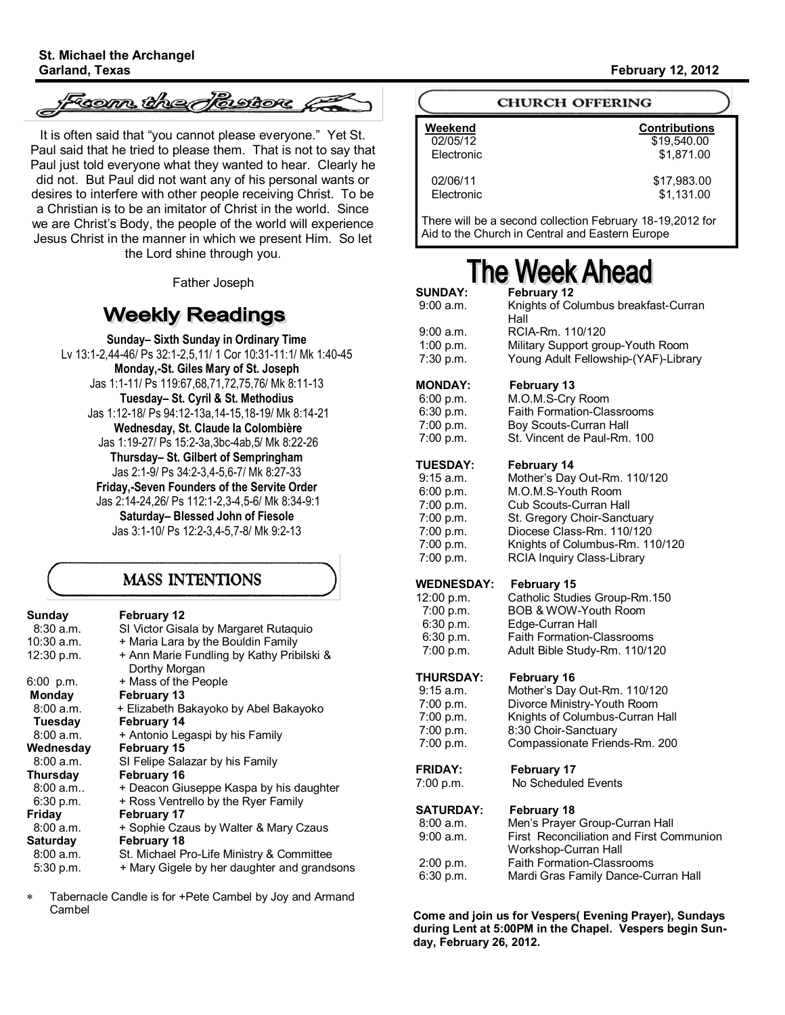tsom tine Atastrore

It is often said that "you cannot please everyone." Yet St. Paul said that he tried to please them. That is not to say that Paul just told everyone what they wanted to hear. Clearly he did not. But Paul did not want any of his personal wants or desires to interfere with other people receiving Christ. To be a Christian is to be an imitator of Christ in the world. Since we are Christ's Body, the people of the world will experience Jesus Christ in the manner in which we present Him. So let the Lord shine through you.

Father Joseph

# **Weekly Readings**

**Sunday– Sixth Sunday in Ordinary Time** Lv 13:1-2,44-46/ Ps 32:1-2,5,11/ 1 Cor 10:31-11:1/ Mk 1:40-45 **Monday,-St. Giles Mary of St. Joseph** Jas 1:1-11/ Ps 119:67,68,71,72,75,76/ Mk 8:11-13 **Tuesday– St. Cyril & St. Methodius** Jas 1:12-18/ Ps 94:12-13a,14-15,18-19/ Mk 8:14-21 **Wednesday, St. Claude la Colombière** Jas 1:19-27/ Ps 15:2-3a,3bc-4ab,5/ Mk 8:22-26 **Thursday– St. Gilbert of Sempringham** Jas 2:1-9/ Ps 34:2-3,4-5,6-7/ Mk 8:27-33 **Friday,-Seven Founders of the Servite Order** Jas 2:14-24,26/ Ps 112:1-2,3-4,5-6/ Mk 8:34-9:1 **Saturday– Blessed John of Fiesole** Jas 3:1-10/ Ps 12:2-3,4-5,7-8/ Mk 9:2-13

### **MASS INTENTIONS**

| Sunday<br>$8:30$ a.m. | <b>February 12</b><br>SI Victor Gisala by Margaret Rutaquio |
|-----------------------|-------------------------------------------------------------|
| 10:30 a.m.            | + Maria Lara by the Bouldin Family                          |
| 12:30 p.m.            | + Ann Marie Fundling by Kathy Pribilski &<br>Dorthy Morgan  |
| $6:00$ p.m.           | + Mass of the People                                        |
| <b>Monday</b>         | <b>February 13</b>                                          |
| 8:00 a.m.             | + Elizabeth Bakayoko by Abel Bakayoko                       |
| Tuesday               | <b>February 14</b>                                          |
| 8:00 a.m.             | + Antonio Legaspi by his Family                             |
| Wednesday             | <b>February 15</b>                                          |
| 8:00 a.m.             | SI Felipe Salazar by his Family                             |
| Thursday              | <b>February 16</b>                                          |
| 8:00 a.m.             | + Deacon Giuseppe Kaspa by his daughter                     |
| 6:30 p.m.             | + Ross Ventrello by the Ryer Family                         |
| Friday                | <b>February 17</b>                                          |
| 8:00 a.m.             | + Sophie Czaus by Walter & Mary Czaus                       |
| Saturday              | <b>February 18</b>                                          |
| 8:00 a.m.             | St. Michael Pro-Life Ministry & Committee                   |
| 5:30 p.m.             | + Mary Gigele by her daughter and grandsons                 |

Tabernacle Candle is for +Pete Cambel by Joy and Armand Cambel

#### **Garland, Texas February 12, 2012**

|  | <b>CHURCH OFFERING</b> |
|--|------------------------|
|--|------------------------|

| Weekend    | <b>Contributions</b> |
|------------|----------------------|
| 02/05/12   | \$19.540.00          |
| Electronic | \$1.871.00           |
| 02/06/11   | \$17,983.00          |
| Electronic | \$1,131.00           |

There will be a second collection February 18-19,2012 for Aid to the Church in Central and Eastern Europe

# **The Week Ahead**

| <b>SUNDAY:</b>    | February 12                                                      |
|-------------------|------------------------------------------------------------------|
| 9:00 a.m.         | Knights of Columbus breakfast-Curran<br>Hall                     |
| 9:00 a.m.         | RCIA-Rm. 110/120                                                 |
| 1:00 $p.m.$       | Military Support group-Youth Room                                |
| 7:30 p.m.         | Young Adult Fellowship-(YAF)-Library                             |
| <b>MONDAY:</b>    | February 13                                                      |
| 6:00 p.m.         | M.O.M.S-Cry Room                                                 |
| 6:30 p.m.         | <b>Faith Formation-Classrooms</b>                                |
| 7:00 p.m.         | Boy Scouts-Curran Hall                                           |
| 7:00 p.m.         | St. Vincent de Paul-Rm. 100                                      |
| <b>TUESDAY:</b>   | February 14                                                      |
| 9:15 a.m.         | Mother's Day Out-Rm. 110/120                                     |
| 6:00 p.m.         | M.O.M.S-Youth Room                                               |
| 7:00 p.m.         | Cub Scouts-Curran Hall                                           |
| 7:00 p.m.         | St. Gregory Choir-Sanctuary                                      |
| 7:00 p.m.         | Diocese Class-Rm. 110/120                                        |
| 7:00 p.m.         | Knights of Columbus-Rm. 110/120                                  |
| 7:00 p.m.         | <b>RCIA Inquiry Class-Library</b>                                |
| <b>WEDNESDAY:</b> | <b>February 15</b>                                               |
| 12:00 p.m.        | Catholic Studies Group-Rm.150                                    |
| 7:00 p.m.         | BOB & WOW-Youth Room                                             |
| 6:30 p.m.         | Edge-Curran Hall                                                 |
| 6:30 p.m.         | Faith Formation-Classrooms                                       |
| 7:00 p.m.         | Adult Bible Study-Rm. 110/120                                    |
| <b>THURSDAY:</b>  | February 16                                                      |
| $9:15$ a.m.       | Mother's Day Out-Rm. 110/120                                     |
| 7:00 p.m.         | Divorce Ministry-Youth Room                                      |
| 7:00 p.m.         | Knights of Columbus-Curran Hall                                  |
| 7:00 p.m.         | 8:30 Choir-Sanctuary                                             |
| 7:00 p.m.         | Compassionate Friends-Rm. 200                                    |
| <b>FRIDAY:</b>    | <b>February 17</b>                                               |
| 7:00 p.m.         | No Scheduled Events                                              |
| <b>SATURDAY:</b>  | <b>February 18</b>                                               |
| 8:00 a.m.         | Men's Prayer Group-Curran Hall                                   |
| 9:00 a.m.         | First Reconciliation and First Communion<br>Workshop-Curran Hall |
| 2:00 p.m.         | <b>Faith Formation-Classrooms</b>                                |
| 6:30 p.m.         | Mardi Gras Family Dance-Curran Hall                              |
|                   |                                                                  |

**Come and join us for Vespers( Evening Prayer), Sundays during Lent at 5:00PM in the Chapel. Vespers begin Sunday, February 26, 2012.**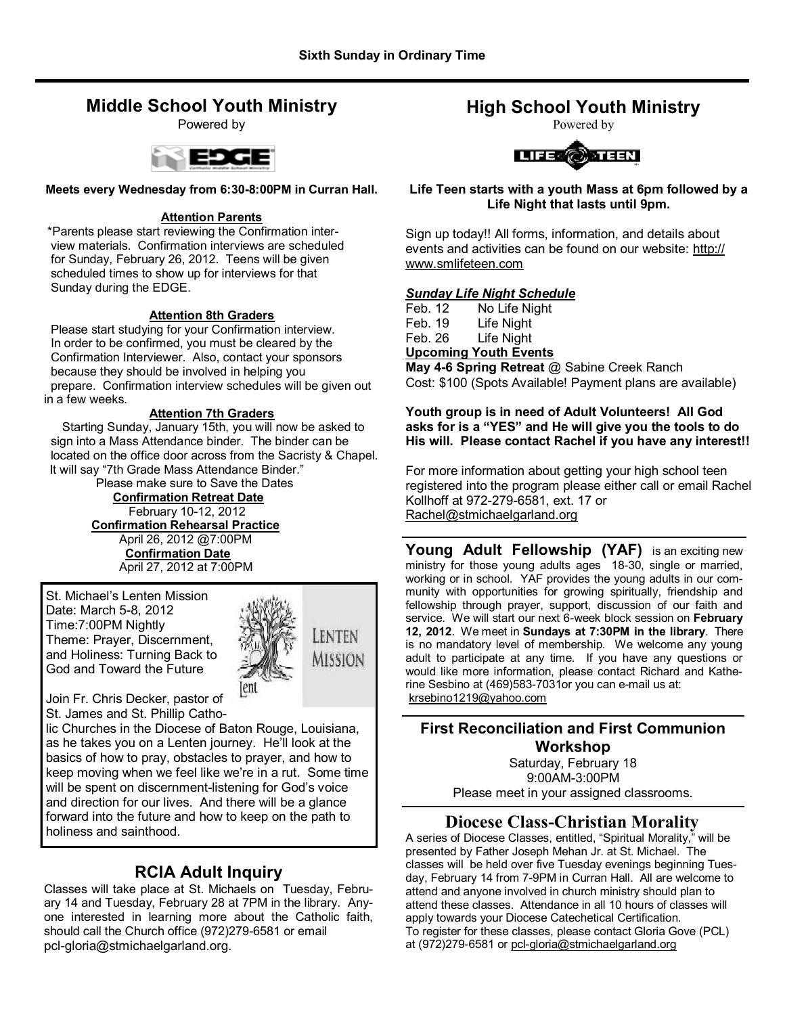## **Middle School Youth Ministry**

Powered by



#### **Meets every Wednesday from 6:30-8:00PM in Curran Hall.**

#### **Attention Parents**

\*Parents please start reviewing the Confirmation inter view materials. Confirmation interviews are scheduled for Sunday, February 26, 2012. Teens will be given scheduled times to show up for interviews for that Sunday during the EDGE.

### **Attention 8th Graders**

 Please start studying for your Confirmation interview. In order to be confirmed, you must be cleared by the Confirmation Interviewer. Also, contact your sponsors because they should be involved in helping you prepare. Confirmation interview schedules will be given out in a few weeks.

### **Attention 7th Graders**

Starting Sunday, January 15th, you will now be asked to sign into a Mass Attendance binder. The binder can be located on the office door across from the Sacristy & Chapel. It will say "7th Grade Mass Attendance Binder."

Please make sure to Save the Dates **Confirmation Retreat Date** February 10-12, 2012  **Confirmation Rehearsal Practice** April 26, 2012 @7:00PM **Confirmation Date** April 27, 2012 at 7:00PM

St. Michael's Lenten Mission Date: March 5-8, 2012 Time:7:00PM Nightly Theme: Prayer, Discernment, and Holiness: Turning Back to God and Toward the Future



Join Fr. Chris Decker, pastor of St. James and St. Phillip Catho-

lic Churches in the Diocese of Baton Rouge, Louisiana, as he takes you on a Lenten journey. He'll look at the basics of how to pray, obstacles to prayer, and how to keep moving when we feel like we're in a rut. Some time will be spent on discernment-listening for God's voice and direction for our lives. And there will be a glance forward into the future and how to keep on the path to holiness and sainthood.

## **RCIA Adult Inquiry**

Classes will take place at St. Michaels on Tuesday, February 14 and Tuesday, February 28 at 7PM in the library. Anyone interested in learning more about the Catholic faith, should call the Church office (972)279-6581 or email pcl-gloria@stmichaelgarland.org.

# **High School Youth Ministry**

Powered by



**Life Teen starts with a youth Mass at 6pm followed by a Life Night that lasts until 9pm.**

Sign up today!! All forms, information, and details about events and activities can be found on our website: http:// www.smlifeteen.com

### *Sunday Life Night Schedule*

|                              | $\mathbf{M}$ $\mathbf{A} \cdot \mathbf{A} \cdot \mathbf{A}$ $\mathbf{B} \cdot \mathbf{A}$ $\mathbf{A} \cdot \mathbf{A} \cdot \mathbf{A} \cdot \mathbf{A} \cdot \mathbf{A}$ $\mathbf{A} \cdot \mathbf{A} \cdot \mathbf{A} \cdot \mathbf{A}$ |  |  |
|------------------------------|--------------------------------------------------------------------------------------------------------------------------------------------------------------------------------------------------------------------------------------------|--|--|
| <b>Upcoming Youth Events</b> |                                                                                                                                                                                                                                            |  |  |
| Feb. 26                      | Life Night                                                                                                                                                                                                                                 |  |  |
| Feb. 19                      | Life Night                                                                                                                                                                                                                                 |  |  |
| Feb. 12.                     | No Life Night                                                                                                                                                                                                                              |  |  |

**May 4-6 Spring Retreat** @ Sabine Creek Ranch Cost: \$100 (Spots Available! Payment plans are available)

#### **Youth group is in need of Adult Volunteers! All God asks for is a "YES" and He will give you the tools to do His will. Please contact Rachel if you have any interest!!**

For more information about getting your high school teen registered into the program please either call or email Rachel Kollhoff at 972-279-6581, ext. 17 or Rachel@stmichaelgarland.org

Young Adult Fellowship (YAF) is an exciting new ministry for those young adults ages 18-30, single or married, working or in school. YAF provides the young adults in our community with opportunities for growing spiritually, friendship and fellowship through prayer, support, discussion of our faith and service. We will start our next 6-week block session on **February 12, 2012**. We meet in **Sundays at 7:30PM in the library**. There is no mandatory level of membership. We welcome any young adult to participate at any time. If you have any questions or would like more information, please contact Richard and Katherine Sesbino at (469)583-7031or you can e-mail us at: krsebino1219@yahoo.com

### **First Reconciliation and First Communion Workshop**

Saturday, February 18 9:00AM-3:00PM Please meet in your assigned classrooms.

## **Diocese Class-Christian Morality**

A series of Diocese Classes, entitled, "Spiritual Morality," will be presented by Father Joseph Mehan Jr. at St. Michael. The classes will be held over five Tuesday evenings beginning Tuesday, February 14 from 7-9PM in Curran Hall. All are welcome to attend and anyone involved in church ministry should plan to attend these classes. Attendance in all 10 hours of classes will apply towards your Diocese Catechetical Certification. To register for these classes, please contact Gloria Gove (PCL) at (972)279-6581 or pcl-gloria@stmichaelgarland.org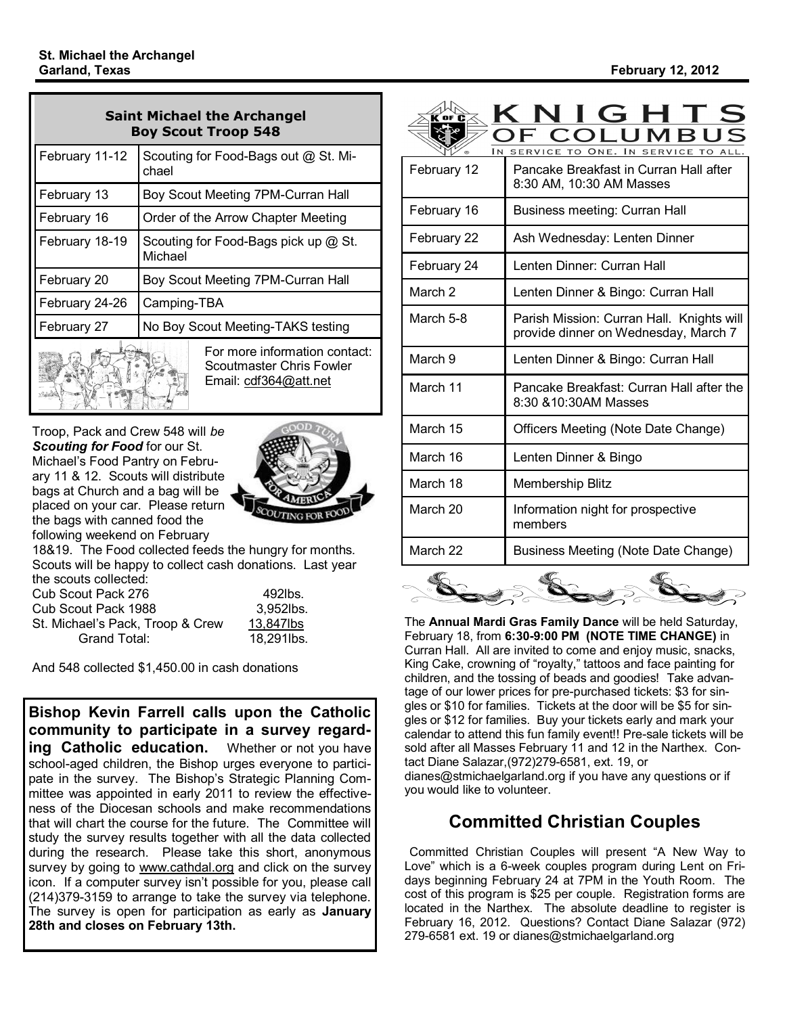| <b>Saint Michael the Archangel</b><br><b>Boy Scout Troop 548</b>                   |                                                 |  |
|------------------------------------------------------------------------------------|-------------------------------------------------|--|
| February 11-12                                                                     | Scouting for Food-Bags out @ St. Mi-<br>chael   |  |
| February 13                                                                        | Boy Scout Meeting 7PM-Curran Hall               |  |
| February 16                                                                        | Order of the Arrow Chapter Meeting              |  |
| February 18-19                                                                     | Scouting for Food-Bags pick up @ St.<br>Michael |  |
| February 20                                                                        | Boy Scout Meeting 7PM-Curran Hall               |  |
| February 24-26                                                                     | Camping-TBA                                     |  |
| February 27                                                                        | No Boy Scout Meeting-TAKS testing               |  |
| For more information contact:<br>Scoutmaster Chris Fowler<br>Email: cdf364@att.net |                                                 |  |

Troop, Pack and Crew 548 will *be Scouting for Food* for our St. Michael's Food Pantry on February 11 & 12. Scouts will distribute bags at Church and a bag will be placed on your car. Please return the bags with canned food the following weekend on February



18&19. The Food collected feeds the hungry for months. Scouts will be happy to collect cash donations. Last year the scouts collected:

| u io ooogio oomootog.            |            |
|----------------------------------|------------|
| Cub Scout Pack 276               | 492lbs.    |
| Cub Scout Pack 1988              | 3.952lbs.  |
| St. Michael's Pack, Troop & Crew | 13.847lbs  |
| Grand Total:                     | 18.291lbs. |

And 548 collected \$1,450.00 in cash donations

**Bishop Kevin Farrell calls upon the Catholic community to participate in a survey regarding Catholic education.** Whether or not you have school-aged children, the Bishop urges everyone to participate in the survey. The Bishop's Strategic Planning Committee was appointed in early 2011 to review the effectiveness of the Diocesan schools and make recommendations that will chart the course for the future. The Committee will study the survey results together with all the data collected during the research. Please take this short, anonymous survey by going to www.cathdal.org and click on the survey icon. If a computer survey isn't possible for you, please call (214)379-3159 to arrange to take the survey via telephone. The survey is open for participation as early as **January 28th and closes on February 13th.** 

| I N                | $\mathsf{NIGH}$ :<br>COI<br>UMB<br>SERVICE TO ONE. IN SERVICE TO                  |
|--------------------|-----------------------------------------------------------------------------------|
| February 12        | Pancake Breakfast in Curran Hall after<br>8:30 AM, 10:30 AM Masses                |
| February 16        | Business meeting: Curran Hall                                                     |
| February 22        | Ash Wednesday: Lenten Dinner                                                      |
| February 24        | Lenten Dinner: Curran Hall                                                        |
| March <sub>2</sub> | Lenten Dinner & Bingo: Curran Hall                                                |
| March 5-8          | Parish Mission: Curran Hall. Knights will<br>provide dinner on Wednesday, March 7 |
| March 9            | Lenten Dinner & Bingo: Curran Hall                                                |
| March 11           | Pancake Breakfast: Curran Hall after the<br>8:30 & 10:30 AM Masses                |
| March 15           | Officers Meeting (Note Date Change)                                               |
| March 16           | Lenten Dinner & Bingo                                                             |
| March 18           | <b>Membership Blitz</b>                                                           |
| March 20           | Information night for prospective<br>members                                      |
| March 22           | Business Meeting (Note Date Change)                                               |
| $\sqrt{C}$         | AC<br>AC                                                                          |

The **Annual Mardi Gras Family Dance** will be held Saturday, February 18, from **6:30-9:00 PM (NOTE TIME CHANGE)** in Curran Hall. All are invited to come and enjoy music, snacks, King Cake, crowning of "royalty," tattoos and face painting for children, and the tossing of beads and goodies! Take advantage of our lower prices for pre-purchased tickets: \$3 for singles or \$10 for families. Tickets at the door will be \$5 for singles or \$12 for families. Buy your tickets early and mark your calendar to attend this fun family event!! Pre-sale tickets will be sold after all Masses February 11 and 12 in the Narthex. Contact Diane Salazar,(972)279-6581, ext. 19, or dianes@stmichaelgarland.org if you have any questions or if you would like to volunteer.

# **Committed Christian Couples**

Committed Christian Couples will present "A New Way to Love" which is a 6-week couples program during Lent on Fridays beginning February 24 at 7PM in the Youth Room. The cost of this program is \$25 per couple. Registration forms are located in the Narthex. The absolute deadline to register is February 16, 2012. Questions? Contact Diane Salazar (972) 279-6581 ext. 19 or dianes@stmichaelgarland.org